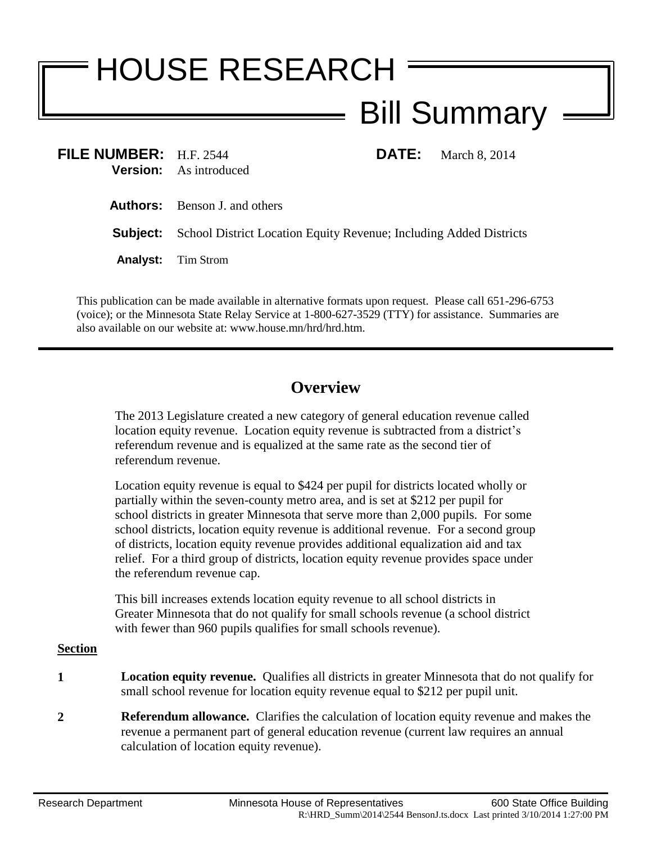## HOUSE RESEARCH Bill Summary

| FILE NUMBER: H.F. 2544 | <b>DATE:</b> March 8, 2014<br><b>Version:</b> As introduced                        |
|------------------------|------------------------------------------------------------------------------------|
|                        | <b>Authors:</b> Benson J. and others                                               |
|                        | <b>Subject:</b> School District Location Equity Revenue; Including Added Districts |
|                        | <b>Analyst:</b> Tim Strom                                                          |
|                        |                                                                                    |

This publication can be made available in alternative formats upon request. Please call 651-296-6753 (voice); or the Minnesota State Relay Service at 1-800-627-3529 (TTY) for assistance. Summaries are also available on our website at: www.house.mn/hrd/hrd.htm.

## **Overview**

The 2013 Legislature created a new category of general education revenue called location equity revenue. Location equity revenue is subtracted from a district's referendum revenue and is equalized at the same rate as the second tier of referendum revenue.

Location equity revenue is equal to \$424 per pupil for districts located wholly or partially within the seven-county metro area, and is set at \$212 per pupil for school districts in greater Minnesota that serve more than 2,000 pupils. For some school districts, location equity revenue is additional revenue. For a second group of districts, location equity revenue provides additional equalization aid and tax relief. For a third group of districts, location equity revenue provides space under the referendum revenue cap.

This bill increases extends location equity revenue to all school districts in Greater Minnesota that do not qualify for small schools revenue (a school district with fewer than 960 pupils qualifies for small schools revenue).

## **Section**

- **1 Location equity revenue.** Qualifies all districts in greater Minnesota that do not qualify for small school revenue for location equity revenue equal to \$212 per pupil unit.
- **2 Referendum allowance.** Clarifies the calculation of location equity revenue and makes the revenue a permanent part of general education revenue (current law requires an annual calculation of location equity revenue).